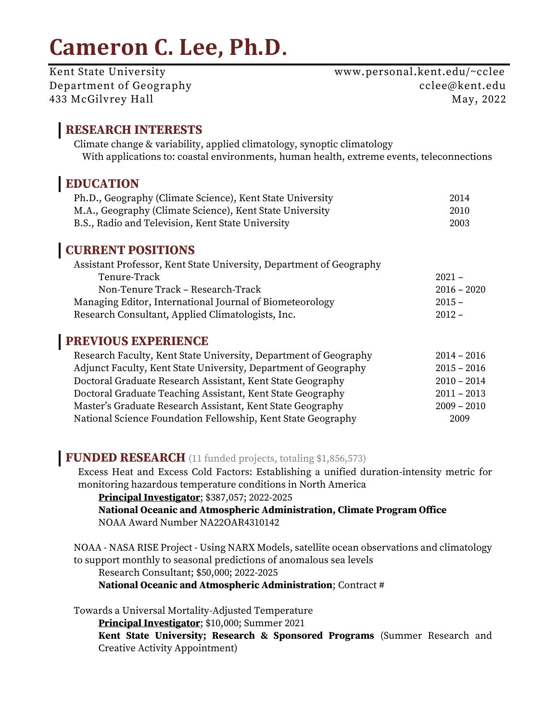# **Cameron C. Lee, Ph.D**.

Kent State University Www.personal.kent.edu/~cclee Department of Geography cclee@kent.edu 433 McGilvrey Hall May, 2022

## **RESEARCH INTERESTS**

Climate change & variability, applied climatology, synoptic climatology With applications to: coastal environments, human health, extreme events, teleconnections

# **EDUCATION**

| Ph.D., Geography (Climate Science), Kent State University | 2014 |
|-----------------------------------------------------------|------|
| M.A., Geography (Climate Science), Kent State University  | 2010 |
| B.S., Radio and Television, Kent State University         | 2003 |

# **CURRENT POSITIONS**

| Assistant Professor, Kent State University, Department of Geography |               |
|---------------------------------------------------------------------|---------------|
| Tenure-Track                                                        | $2021 -$      |
| Non-Tenure Track - Research-Track                                   | $2016 - 2020$ |
| Managing Editor, International Journal of Biometeorology            | $2015 -$      |
| Research Consultant, Applied Climatologists, Inc.                   | $2012 -$      |

# **PREVIOUS EXPERIENCE**

| Research Faculty, Kent State University, Department of Geography | $2014 - 2016$ |
|------------------------------------------------------------------|---------------|
| Adjunct Faculty, Kent State University, Department of Geography  | $2015 - 2016$ |
| Doctoral Graduate Research Assistant, Kent State Geography       | $2010 - 2014$ |
| Doctoral Graduate Teaching Assistant, Kent State Geography       | $2011 - 2013$ |
| Master's Graduate Research Assistant, Kent State Geography       | $2009 - 2010$ |
| National Science Foundation Fellowship, Kent State Geography     | 2009          |

## **FUNDED RESEARCH** (11 funded projects, totaling \$1,856,573)

Excess Heat and Excess Cold Factors: Establishing a unified duration-intensity metric for monitoring hazardous temperature conditions in North America

**Principal Investigator**; \$387,057; 2022-2025

**National Oceanic and Atmospheric Administration, Climate Program Office** NOAA Award Number NA22OAR4310142

NOAA - NASA RISE Project - Using NARX Models, satellite ocean observations and climatology to support monthly to seasonal predictions of anomalous sea levels

Research Consultant; \$50,000; 2022-2025

**National Oceanic and Atmospheric Administration**; Contract #

Towards a Universal Mortality-Adjusted Temperature

**Principal Investigator**; \$10,000; Summer 2021

**Kent State University; Research & Sponsored Programs** (Summer Research and Creative Activity Appointment)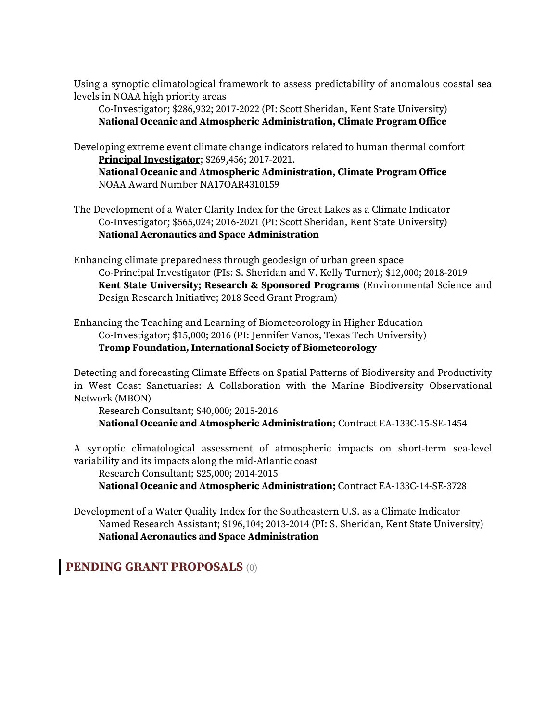Using a synoptic climatological framework to assess predictability of anomalous coastal sea levels in NOAA high priority areas

Co-Investigator; \$286,932; 2017-2022 (PI: Scott Sheridan, Kent State University) **National Oceanic and Atmospheric Administration, Climate Program Office**

Developing extreme event climate change indicators related to human thermal comfort **Principal Investigator**; \$269,456; 2017-2021.

**National Oceanic and Atmospheric Administration, Climate Program Office** NOAA Award Number NA17OAR4310159

The Development of a Water Clarity Index for the Great Lakes as a Climate Indicator Co-Investigator; \$565,024; 2016-2021 (PI: Scott Sheridan, Kent State University) **National Aeronautics and Space Administration**

Enhancing climate preparedness through geodesign of urban green space Co-Principal Investigator (PIs: S. Sheridan and V. Kelly Turner); \$12,000; 2018-2019 **Kent State University; Research & Sponsored Programs** (Environmental Science and Design Research Initiative; 2018 Seed Grant Program)

Enhancing the Teaching and Learning of Biometeorology in Higher Education Co-Investigator; \$15,000; 2016 (PI: Jennifer Vanos, Texas Tech University) **Tromp Foundation, International Society of Biometeorology**

Detecting and forecasting Climate Effects on Spatial Patterns of Biodiversity and Productivity in West Coast Sanctuaries: A Collaboration with the Marine Biodiversity Observational Network (MBON)

Research Consultant; \$40,000; 2015-2016 **National Oceanic and Atmospheric Administration**; Contract EA-133C-15-SE-1454

A synoptic climatological assessment of atmospheric impacts on short-term sea-level variability and its impacts along the mid-Atlantic coast

Research Consultant; \$25,000; 2014-2015

**National Oceanic and Atmospheric Administration;** Contract EA-133C-14-SE-3728

Development of a Water Quality Index for the Southeastern U.S. as a Climate Indicator Named Research Assistant; \$196,104; 2013-2014 (PI: S. Sheridan, Kent State University) **National Aeronautics and Space Administration**

**PENDING GRANT PROPOSALS** (0)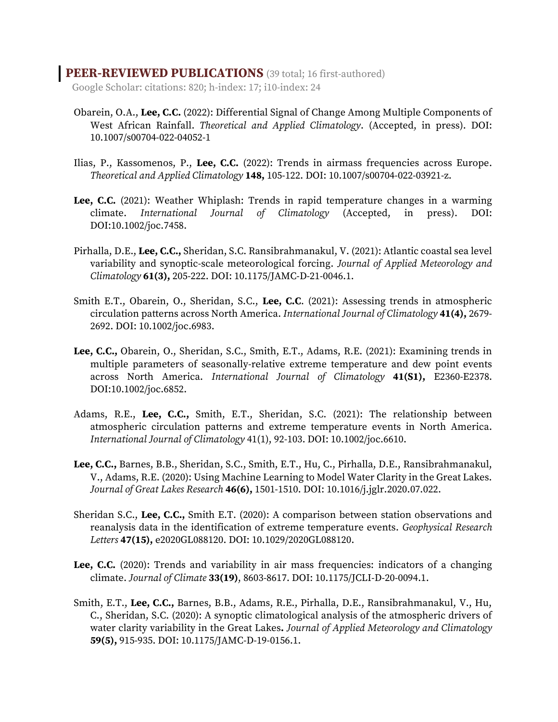#### **PEER-REVIEWED PUBLICATIONS** (39 total; 16 first-authored)

Google Scholar: citations: 820; h-index: 17; i10-index: 24

- Obarein, O.A., **Lee, C.C.** (2022): Differential Signal of Change Among Multiple Components of West African Rainfall. *Theoretical and Applied Climatology*. (Accepted, in press). DOI: 10.1007/s00704-022-04052-1
- Ilias, P., Kassomenos, P., **Lee, C.C.** (2022): Trends in airmass frequencies across Europe. *Theoretical and Applied Climatology* **148,** 105-122. DOI: 10.1007/s00704-022-03921-z.
- **Lee, C.C.** (2021): Weather Whiplash: Trends in rapid temperature changes in a warming climate. *International Journal of Climatology* (Accepted, in press). DOI: DOI:10.1002/joc.7458.
- Pirhalla, D.E., **Lee, C.C.,** Sheridan, S.C. Ransibrahmanakul, V. (2021): Atlantic coastal sea level variability and synoptic-scale meteorological forcing. *Journal of Applied Meteorology and Climatology* **61(3),** 205-222. DOI: 10.1175/JAMC-D-21-0046.1.
- Smith E.T., Obarein, O., Sheridan, S.C., **Lee, C.C**. (2021): Assessing trends in atmospheric circulation patterns across North America. *International Journal of Climatology* **41(4),** 2679- 2692. DOI: 10.1002/joc.6983.
- **Lee, C.C.,** Obarein, O., Sheridan, S.C., Smith, E.T., Adams, R.E. (2021): Examining trends in multiple parameters of seasonally-relative extreme temperature and dew point events across North America. *International Journal of Climatology* **41(S1),** E2360-E2378. DOI:10.1002/joc.6852.
- Adams, R.E., **Lee, C.C.,** Smith, E.T., Sheridan, S.C. (2021): The relationship between atmospheric circulation patterns and extreme temperature events in North America. *International Journal of Climatology* 41(1), 92-103. DOI: 10.1002/joc.6610.
- **Lee, C.C.,** Barnes, B.B., Sheridan, S.C., Smith, E.T., Hu, C., Pirhalla, D.E., Ransibrahmanakul, V., Adams, R.E. (2020): Using Machine Learning to Model Water Clarity in the Great Lakes. *Journal of Great Lakes Research* **46(6),** 1501-1510. DOI: 10.1016/j.jglr.2020.07.022.
- Sheridan S.C., **Lee, C.C.,** Smith E.T. (2020): A comparison between station observations and reanalysis data in the identification of extreme temperature events. *Geophysical Research Letters* **47(15),** e2020GL088120. DOI: 10.1029/2020GL088120.
- **Lee, C.C.** (2020): Trends and variability in air mass frequencies: indicators of a changing climate. *Journal of Climate* **33(19)**, 8603-8617. DOI: 10.1175/JCLI-D-20-0094.1.
- Smith, E.T., **Lee, C.C.,** Barnes, B.B., Adams, R.E., Pirhalla, D.E., Ransibrahmanakul, V., Hu, C., Sheridan, S.C. (2020): A synoptic climatological analysis of the atmospheric drivers of water clarity variability in the Great Lakes**.** *Journal of Applied Meteorology and Climatology* **59(5),** 915-935. DOI: 10.1175/JAMC-D-19-0156.1.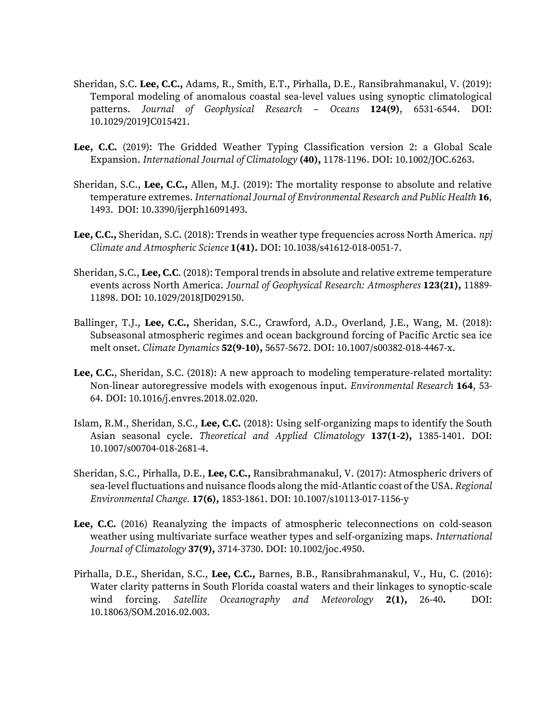- Sheridan, S.C. **Lee, C.C.,** Adams, R., Smith, E.T., Pirhalla, D.E., Ransibrahmanakul, V. (2019): Temporal modeling of anomalous coastal sea-level values using synoptic climatological patterns. *Journal of Geophysical Research – Oceans* **124(9)**, 6531-6544. DOI: 10.1029/2019JC015421.
- **Lee, C.C.** (2019): The Gridded Weather Typing Classification version 2: a Global Scale Expansion. *International Journal of Climatology* **(40),** 1178-1196. DOI: 10.1002/JOC.6263.
- Sheridan, S.C., **Lee, C.C.,** Allen, M.J. (2019): The mortality response to absolute and relative temperature extremes. *International Journal of Environmental Research and Public Health* **16***,*  1493. DOI: 10.3390/ijerph16091493.
- **Lee, C.C.,** Sheridan, S.C. (2018): Trends in weather type frequencies across North America. *npj Climate and Atmospheric Science* **1(41).** DOI: 10.1038/s41612-018-0051-7.
- Sheridan, S.C., **Lee, C.C**. (2018): Temporal trends in absolute and relative extreme temperature events across North America. *Journal of Geophysical Research: Atmospheres* **123(21),** 11889- 11898. DOI: 10.1029/2018JD029150.
- Ballinger, T.J., **Lee, C.C.,** Sheridan, S.C., Crawford, A.D., Overland, J.E., Wang, M. (2018): Subseasonal atmospheric regimes and ocean background forcing of Pacific Arctic sea ice melt onset. *Climate Dynamics* **52(9-10),** 5657-5672. DOI: 10.1007/s00382-018-4467-x.
- **Lee, C.C.**, Sheridan, S.C. (2018): A new approach to modeling temperature-related mortality: Non-linear autoregressive models with exogenous input. *Environmental Research* **164**, 53- 64. DOI: 10.1016/j.envres.2018.02.020.
- Islam, R.M., Sheridan, S.C., **Lee, C.C.** (2018): Using self-organizing maps to identify the South Asian seasonal cycle. *Theoretical and Applied Climatology* **137(1-2),** 1385-1401. DOI: 10.1007/s00704-018-2681-4.
- Sheridan, S.C., Pirhalla, D.E., **Lee, C.C.,** Ransibrahmanakul, V. (2017): Atmospheric drivers of sea-level fluctuations and nuisance floods along the mid-Atlantic coast of the USA. *Regional Environmental Change.* **17(6),** 1853-1861. DOI: 10.1007/s10113-017-1156-y
- **Lee, C.C.** (2016) Reanalyzing the impacts of atmospheric teleconnections on cold-season weather using multivariate surface weather types and self-organizing maps. *International Journal of Climatology* **37(9),** 3714-3730. DOI: 10.1002/joc.4950.
- Pirhalla, D.E., Sheridan, S.C., **Lee, C.C.,** Barnes, B.B., Ransibrahmanakul, V., Hu, C. (2016): Water clarity patterns in South Florida coastal waters and their linkages to synoptic-scale wind forcing. *Satellite Oceanography and Meteorology* **2(1),** 26-40**.** DOI: 10.18063/SOM.2016.02.003.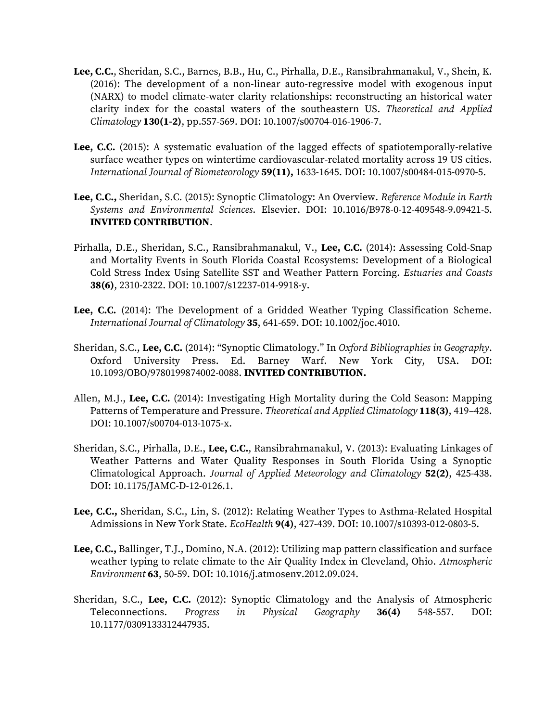- **Lee, C.C.**, Sheridan, S.C., Barnes, B.B., Hu, C., Pirhalla, D.E., Ransibrahmanakul, V., Shein, K. (2016): The development of a non-linear auto-regressive model with exogenous input (NARX) to model climate-water clarity relationships: reconstructing an historical water clarity index for the coastal waters of the southeastern US. *Theoretical and Applied Climatology* **130(1-2)**, pp.557-569. DOI: 10.1007/s00704-016-1906-7.
- **Lee, C.C.** (2015): A systematic evaluation of the lagged effects of spatiotemporally-relative surface weather types on wintertime cardiovascular-related mortality across 19 US cities. *International Journal of Biometeorology* **59(11),** 1633-1645. DOI: 10.1007/s00484-015-0970-5.
- **Lee, C.C.,** Sheridan, S.C. (2015): Synoptic Climatology: An Overview. *Reference Module in Earth Systems and Environmental Sciences*. Elsevier. DOI: 10.1016/B978-0-12-409548-9.09421-5. **INVITED CONTRIBUTION**.
- Pirhalla, D.E., Sheridan, S.C., Ransibrahmanakul, V., **Lee, C.C.** (2014): Assessing Cold-Snap and Mortality Events in South Florida Coastal Ecosystems: Development of a Biological Cold Stress Index Using Satellite SST and Weather Pattern Forcing. *Estuaries and Coasts* **38(6)**, 2310-2322. DOI: 10.1007/s12237-014-9918-y.
- **Lee, C.C.** (2014): The Development of a Gridded Weather Typing Classification Scheme. *International Journal of Climatology* **35**, 641-659. DOI: 10.1002/joc.4010.
- Sheridan, S.C., **Lee, C.C.** (2014): "Synoptic Climatology." In *Oxford Bibliographies in Geography*. Oxford University Press. Ed. Barney Warf. New York City, USA. DOI: 10.1093/OBO/9780199874002-0088. **INVITED CONTRIBUTION.**
- Allen, M.J., **Lee, C.C.** (2014): Investigating High Mortality during the Cold Season: Mapping Patterns of Temperature and Pressure. *Theoretical and Applied Climatology* **118(3)**, 419–428. DOI: 10.1007/s00704-013-1075-x.
- Sheridan, S.C., Pirhalla, D.E., **Lee, C.C.**, Ransibrahmanakul, V. (2013): Evaluating Linkages of Weather Patterns and Water Quality Responses in South Florida Using a Synoptic Climatological Approach. *Journal of Applied Meteorology and Climatology* **52(2)**, 425-438. DOI: 10.1175/JAMC-D-12-0126.1.
- **Lee, C.C.,** Sheridan, S.C., Lin, S. (2012): Relating Weather Types to Asthma-Related Hospital Admissions in New York State. *EcoHealth* **9(4)**, 427-439. DOI: 10.1007/s10393-012-0803-5.
- **Lee, C.C.,** Ballinger, T.J., Domino, N.A. (2012): Utilizing map pattern classification and surface weather typing to relate climate to the Air Quality Index in Cleveland, Ohio. *Atmospheric Environment* **63**, 50-59. DOI: 10.1016/j.atmosenv.2012.09.024.
- Sheridan, S.C., **Lee, C.C.** (2012): Synoptic Climatology and the Analysis of Atmospheric Teleconnections. *Progress in Physical Geography* **36(4)** 548-557. DOI: 10.1177/0309133312447935.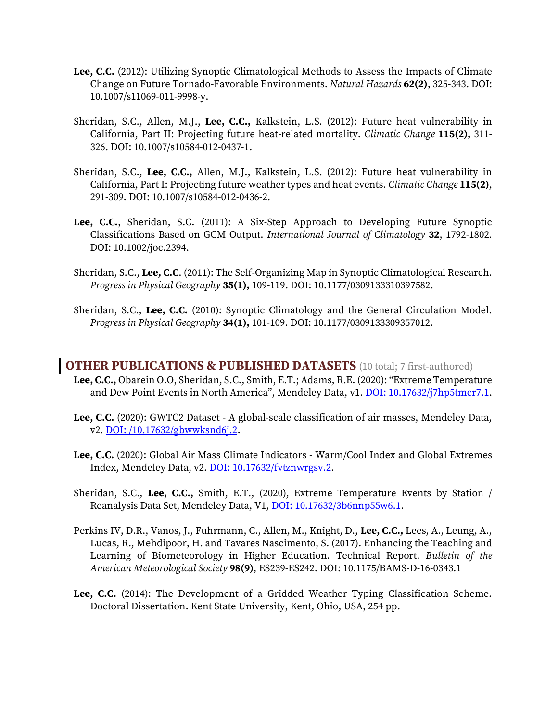- **Lee, C.C.** (2012): Utilizing Synoptic Climatological Methods to Assess the Impacts of Climate Change on Future Tornado-Favorable Environments. *Natural Hazards* **62(2)**, 325-343. DOI: 10.1007/s11069-011-9998-y.
- Sheridan, S.C., Allen, M.J., **Lee, C.C.,** Kalkstein, L.S. (2012): Future heat vulnerability in California, Part II: Projecting future heat-related mortality. *Climatic Change* **115(2),** 311- 326. DOI: 10.1007/s10584-012-0437-1.
- Sheridan, S.C., **Lee, C.C.,** Allen, M.J., Kalkstein, L.S. (2012): Future heat vulnerability in California, Part I: Projecting future weather types and heat events. *Climatic Change* **115(2)**, 291-309. DOI: 10.1007/s10584-012-0436-2.
- **Lee, C.C.**, Sheridan, S.C. (2011): A Six-Step Approach to Developing Future Synoptic Classifications Based on GCM Output. *International Journal of Climatology* **32**, 1792-1802*.* DOI: 10.1002/joc.2394.
- Sheridan, S.C., **Lee, C.C**. (2011): The Self-Organizing Map in Synoptic Climatological Research. *Progress in Physical Geography* **35(1),** 109-119. DOI: 10.1177/0309133310397582.
- Sheridan, S.C., **Lee, C.C.** (2010): Synoptic Climatology and the General Circulation Model. *Progress in Physical Geography* **34(1),** 101-109. DOI: 10.1177/0309133309357012.

#### **OTHER PUBLICATIONS & PUBLISHED DATASETS** (10 total; 7 first-authored)

- **Lee, C.C.,** Obarein O.O, Sheridan, S.C., Smith, E.T.; Adams, R.E. (2020): "Extreme Temperature and Dew Point Events in North America", Mendeley Data, v1. [DOI: 10.17632/j7hp5tmcr7.1.](https://data.mendeley.com/datasets/j7hp5tmcr7/1)
- **Lee, C.C.** (2020): GWTC2 Dataset A global-scale classification of air masses, Mendeley Data, v2. DOI: [/10.17632/gbwwksnd6j.2.](http://dx.doi.org/10.17632/gbwwksnd6j.2)
- **Lee, C.C.** (2020): Global Air Mass Climate Indicators Warm/Cool Index and Global Extremes Index, Mendeley Data, v2[. DOI: 10.17632/fvtznwrgsv.2.](http://dx.doi.org/10.17632/fvtznwrgsv.2)
- Sheridan, S.C., **Lee, C.C.,** Smith, E.T., (2020), Extreme Temperature Events by Station / Reanalysis Data Set, Mendeley Data, V1, [DOI: 10.17632/3b6nnp55w6.1.](https://data.mendeley.com/datasets/3b6nnp55w6/1)
- Perkins IV, D.R., Vanos, J., Fuhrmann, C., Allen, M., Knight, D., **Lee, C.C.,** Lees, A., Leung, A., Lucas, R., Mehdipoor, H. and Tavares Nascimento, S. (2017). Enhancing the Teaching and Learning of Biometeorology in Higher Education. Technical Report. *Bulletin of the American Meteorological Society* **98(9)**, ES239-ES242. DOI: 10.1175/BAMS-D-16-0343.1
- **Lee, C.C.** (2014): The Development of a Gridded Weather Typing Classification Scheme. Doctoral Dissertation. Kent State University, Kent, Ohio, USA, 254 pp.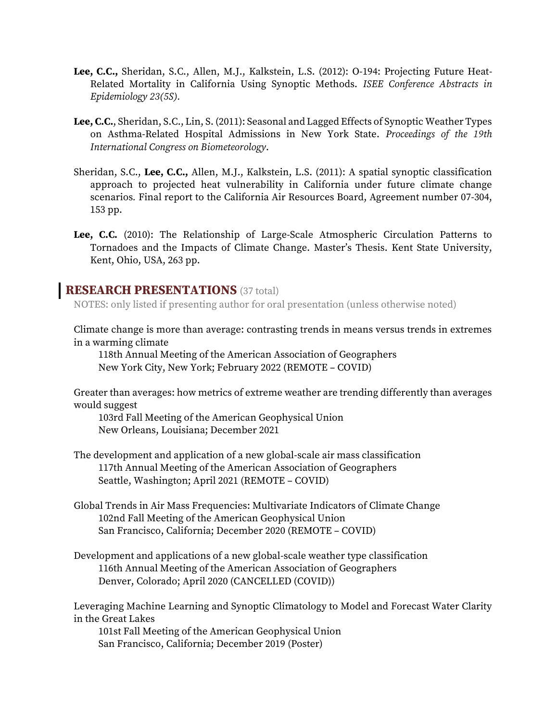- **Lee, C.C.,** Sheridan, S.C., Allen, M.J., Kalkstein, L.S. (2012): O-194: Projecting Future Heat-Related Mortality in California Using Synoptic Methods. *ISEE Conference Abstracts in Epidemiology 23(5S).*
- **Lee, C.C.**, Sheridan, S.C., Lin, S. (2011): Seasonal and Lagged Effects of Synoptic Weather Types on Asthma-Related Hospital Admissions in New York State. *Proceedings of the 19th International Congress on Biometeorology*.
- Sheridan, S.C., **Lee, C.C.,** Allen, M.J., Kalkstein, L.S. (2011): A spatial synoptic classification approach to projected heat vulnerability in California under future climate change scenarios*.* Final report to the California Air Resources Board, Agreement number 07-304, 153 pp.
- **Lee, C.C.** (2010): The Relationship of Large-Scale Atmospheric Circulation Patterns to Tornadoes and the Impacts of Climate Change. Master's Thesis. Kent State University, Kent, Ohio, USA, 263 pp.

#### **RESEARCH PRESENTATIONS** (37 total)

NOTES: only listed if presenting author for oral presentation (unless otherwise noted)

Climate change is more than average: contrasting trends in means versus trends in extremes in a warming climate

118th Annual Meeting of the American Association of Geographers New York City, New York; February 2022 (REMOTE – COVID)

Greater than averages: how metrics of extreme weather are trending differently than averages would suggest

103rd Fall Meeting of the American Geophysical Union New Orleans, Louisiana; December 2021

- The development and application of a new global-scale air mass classification 117th Annual Meeting of the American Association of Geographers Seattle, Washington; April 2021 (REMOTE – COVID)
- Global Trends in Air Mass Frequencies: Multivariate Indicators of Climate Change 102nd Fall Meeting of the American Geophysical Union San Francisco, California; December 2020 (REMOTE – COVID)
- Development and applications of a new global-scale weather type classification 116th Annual Meeting of the American Association of Geographers Denver, Colorado; April 2020 (CANCELLED (COVID))

Leveraging Machine Learning and Synoptic Climatology to Model and Forecast Water Clarity in the Great Lakes

101st Fall Meeting of the American Geophysical Union San Francisco, California; December 2019 (Poster)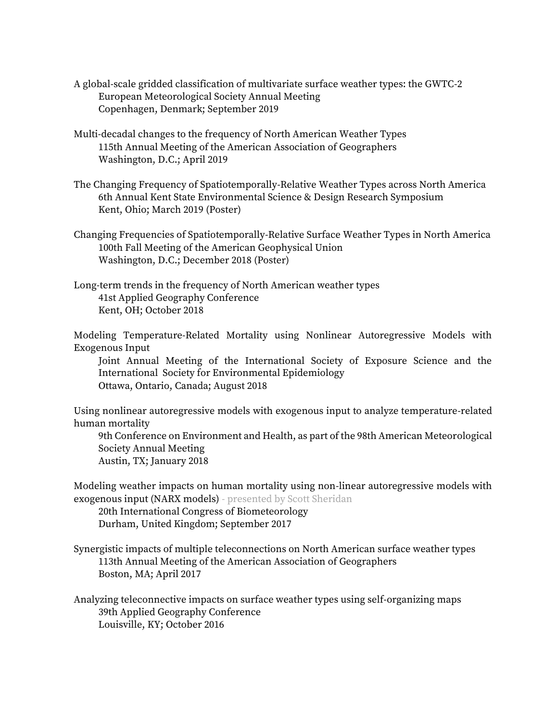- A global-scale gridded classification of multivariate surface weather types: the GWTC-2 European Meteorological Society Annual Meeting Copenhagen, Denmark; September 2019
- Multi-decadal changes to the frequency of North American Weather Types 115th Annual Meeting of the American Association of Geographers Washington, D.C.; April 2019
- The Changing Frequency of Spatiotemporally-Relative Weather Types across North America 6th Annual Kent State Environmental Science & Design Research Symposium Kent, Ohio; March 2019 (Poster)
- Changing Frequencies of Spatiotemporally-Relative Surface Weather Types in North America 100th Fall Meeting of the American Geophysical Union Washington, D.C.; December 2018 (Poster)
- Long-term trends in the frequency of North American weather types 41st Applied Geography Conference Kent, OH; October 2018

Modeling Temperature-Related Mortality using Nonlinear Autoregressive Models with Exogenous Input

Joint Annual Meeting of the International Society of Exposure Science and the International Society for Environmental Epidemiology Ottawa, Ontario, Canada; August 2018

Using nonlinear autoregressive models with exogenous input to analyze temperature-related human mortality

9th Conference on Environment and Health, as part of the 98th American Meteorological Society Annual Meeting Austin, TX; January 2018

Modeling weather impacts on human mortality using non-linear autoregressive models with exogenous input (NARX models) - presented by Scott Sheridan

20th International Congress of Biometeorology Durham, United Kingdom; September 2017

Synergistic impacts of multiple teleconnections on North American surface weather types 113th Annual Meeting of the American Association of Geographers Boston, MA; April 2017

Analyzing teleconnective impacts on surface weather types using self-organizing maps 39th Applied Geography Conference Louisville, KY; October 2016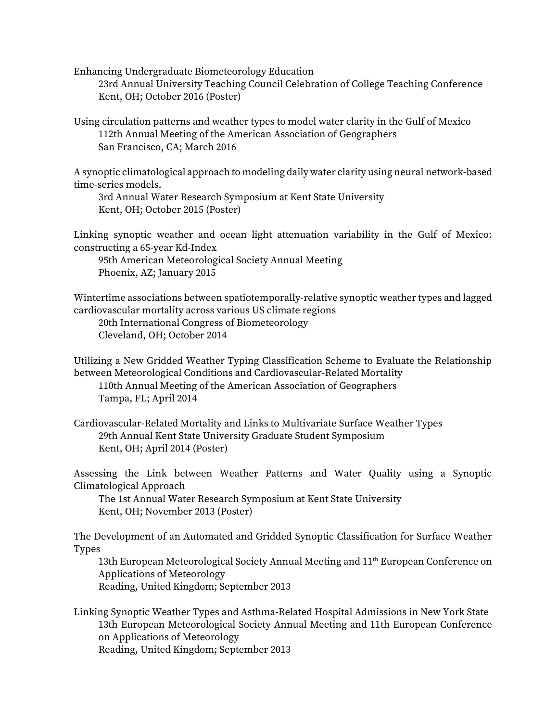Enhancing Undergraduate Biometeorology Education

23rd Annual University Teaching Council Celebration of College Teaching Conference Kent, OH; October 2016 (Poster)

Using circulation patterns and weather types to model water clarity in the Gulf of Mexico 112th Annual Meeting of the American Association of Geographers San Francisco, CA; March 2016

A synoptic climatological approach to modeling daily water clarity using neural network-based time-series models.

3rd Annual Water Research Symposium at Kent State University Kent, OH; October 2015 (Poster)

Linking synoptic weather and ocean light attenuation variability in the Gulf of Mexico: constructing a 65-year Kd-Index

95th American Meteorological Society Annual Meeting Phoenix, AZ; January 2015

Wintertime associations between spatiotemporally-relative synoptic weather types and lagged cardiovascular mortality across various US climate regions

20th International Congress of Biometeorology Cleveland, OH; October 2014

Utilizing a New Gridded Weather Typing Classification Scheme to Evaluate the Relationship between Meteorological Conditions and Cardiovascular-Related Mortality 110th Annual Meeting of the American Association of Geographers

Tampa, FL; April 2014

Cardiovascular-Related Mortality and Links to Multivariate Surface Weather Types 29th Annual Kent State University Graduate Student Symposium Kent, OH; April 2014 (Poster)

Assessing the Link between Weather Patterns and Water Quality using a Synoptic Climatological Approach

The 1st Annual Water Research Symposium at Kent State University Kent, OH; November 2013 (Poster)

The Development of an Automated and Gridded Synoptic Classification for Surface Weather Types

13th European Meteorological Society Annual Meeting and 11<sup>th</sup> European Conference on Applications of Meteorology

Reading, United Kingdom; September 2013

Linking Synoptic Weather Types and Asthma-Related Hospital Admissions in New York State 13th European Meteorological Society Annual Meeting and 11th European Conference on Applications of Meteorology

Reading, United Kingdom; September 2013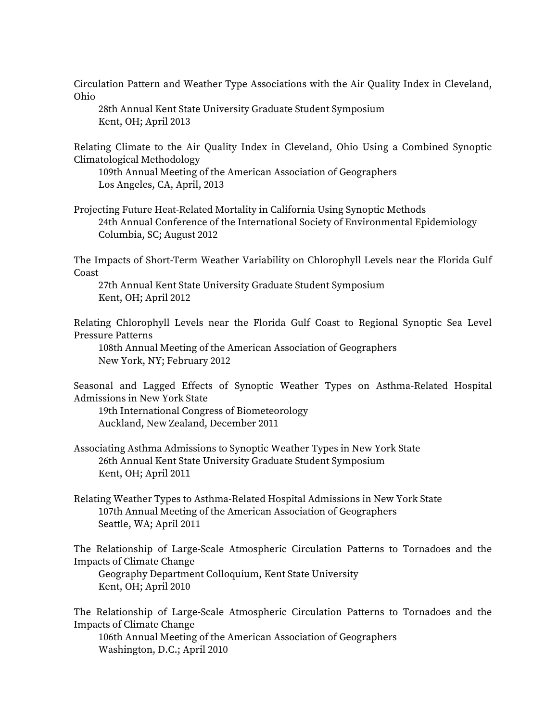Circulation Pattern and Weather Type Associations with the Air Quality Index in Cleveland, Ohio

28th Annual Kent State University Graduate Student Symposium Kent, OH; April 2013

Relating Climate to the Air Quality Index in Cleveland, Ohio Using a Combined Synoptic Climatological Methodology

109th Annual Meeting of the American Association of Geographers Los Angeles, CA, April, 2013

Projecting Future Heat-Related Mortality in California Using Synoptic Methods 24th Annual Conference of the International Society of Environmental Epidemiology Columbia, SC; August 2012

The Impacts of Short-Term Weather Variability on Chlorophyll Levels near the Florida Gulf Coast

27th Annual Kent State University Graduate Student Symposium Kent, OH; April 2012

Relating Chlorophyll Levels near the Florida Gulf Coast to Regional Synoptic Sea Level Pressure Patterns

108th Annual Meeting of the American Association of Geographers New York, NY; February 2012

Seasonal and Lagged Effects of Synoptic Weather Types on Asthma-Related Hospital Admissions in New York State

19th International Congress of Biometeorology Auckland, New Zealand, December 2011

Associating Asthma Admissions to Synoptic Weather Types in New York State 26th Annual Kent State University Graduate Student Symposium Kent, OH; April 2011

Relating Weather Types to Asthma-Related Hospital Admissions in New York State 107th Annual Meeting of the American Association of Geographers Seattle, WA; April 2011

The Relationship of Large-Scale Atmospheric Circulation Patterns to Tornadoes and the Impacts of Climate Change

Geography Department Colloquium, Kent State University Kent, OH; April 2010

The Relationship of Large-Scale Atmospheric Circulation Patterns to Tornadoes and the Impacts of Climate Change

106th Annual Meeting of the American Association of Geographers Washington, D.C.; April 2010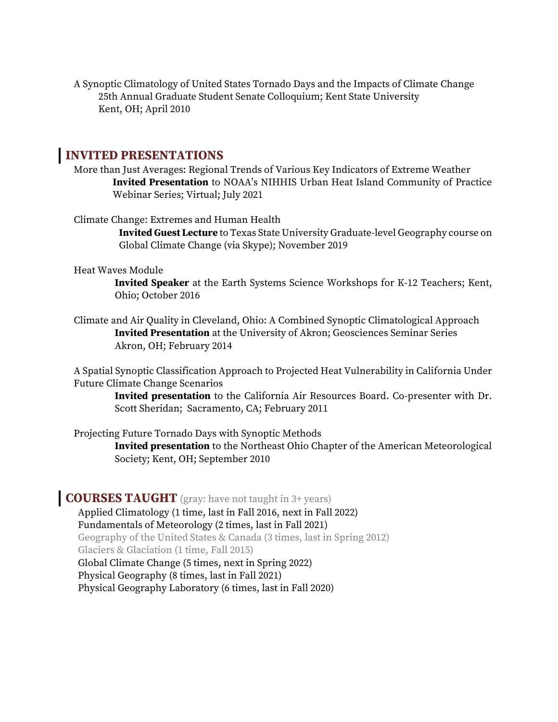A Synoptic Climatology of United States Tornado Days and the Impacts of Climate Change 25th Annual Graduate Student Senate Colloquium; Kent State University Kent, OH; April 2010

#### **INVITED PRESENTATIONS**

More than Just Averages: Regional Trends of Various Key Indicators of Extreme Weather **Invited Presentation** to NOAA's NIHHIS Urban Heat Island Community of Practice Webinar Series; Virtual; July 2021

Climate Change: Extremes and Human Health

**Invited Guest Lecture** to Texas State University Graduate-level Geography course on Global Climate Change (via Skype); November 2019

#### Heat Waves Module

**Invited Speaker** at the Earth Systems Science Workshops for K-12 Teachers; Kent, Ohio; October 2016

Climate and Air Quality in Cleveland, Ohio: A Combined Synoptic Climatological Approach **Invited Presentation** at the University of Akron; Geosciences Seminar Series Akron, OH; February 2014

A Spatial Synoptic Classification Approach to Projected Heat Vulnerability in California Under Future Climate Change Scenarios

**Invited presentation** to the California Air Resources Board. Co-presenter with Dr. Scott Sheridan; Sacramento, CA; February 2011

Projecting Future Tornado Days with Synoptic Methods

**Invited presentation** to the Northeast Ohio Chapter of the American Meteorological Society; Kent, OH; September 2010

#### **COURSES TAUGHT** (gray: have not taught in 3+ years)

Applied Climatology (1 time, last in Fall 2016, next in Fall 2022) Fundamentals of Meteorology (2 times, last in Fall 2021) Geography of the United States & Canada (3 times, last in Spring 2012) Glaciers & Glaciation (1 time, Fall 2015) Global Climate Change (5 times, next in Spring 2022) Physical Geography (8 times, last in Fall 2021) Physical Geography Laboratory (6 times, last in Fall 2020)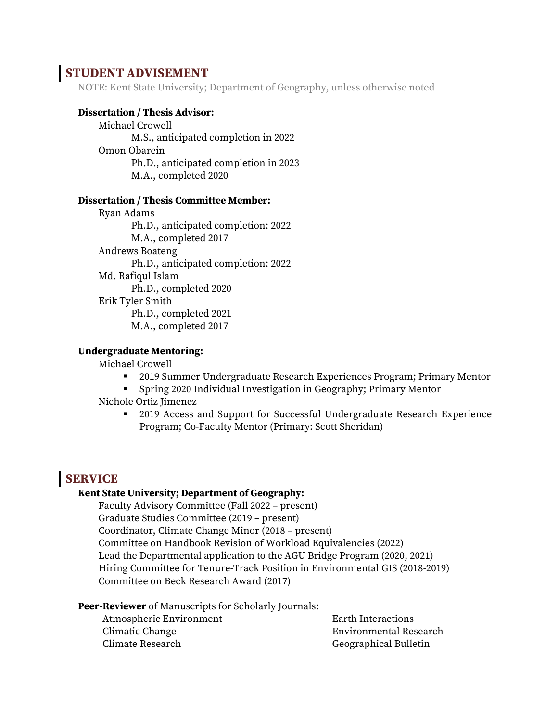## **STUDENT ADVISEMENT**

NOTE: Kent State University; Department of Geography, unless otherwise noted

#### **Dissertation / Thesis Advisor:**

Michael Crowell M.S., anticipated completion in 2022 Omon Obarein Ph.D., anticipated completion in 2023 M.A., completed 2020

#### **Dissertation / Thesis Committee Member:**

Ryan Adams Ph.D., anticipated completion: 2022 M.A., completed 2017 Andrews Boateng Ph.D., anticipated completion: 2022 Md. Rafiqul Islam Ph.D., completed 2020 Erik Tyler Smith Ph.D., completed 2021 M.A., completed 2017

#### **Undergraduate Mentoring:**

Michael Crowell

- 2019 Summer Undergraduate Research Experiences Program; Primary Mentor
- Spring 2020 Individual Investigation in Geography; Primary Mentor
- Nichole Ortiz Jimenez
	- 2019 Access and Support for Successful Undergraduate Research Experience Program; Co-Faculty Mentor (Primary: Scott Sheridan)

## **SERVICE**

#### **Kent State University; Department of Geography:**

Faculty Advisory Committee (Fall 2022 – present) Graduate Studies Committee (2019 – present) Coordinator, Climate Change Minor (2018 – present) Committee on Handbook Revision of Workload Equivalencies (2022) Lead the Departmental application to the AGU Bridge Program (2020, 2021) Hiring Committee for Tenure-Track Position in Environmental GIS (2018-2019) Committee on Beck Research Award (2017)

**Peer-Reviewer** of Manuscripts for Scholarly Journals:

Atmospheric Environment Climatic Change Climate Research

Earth Interactions Environmental Research Geographical Bulletin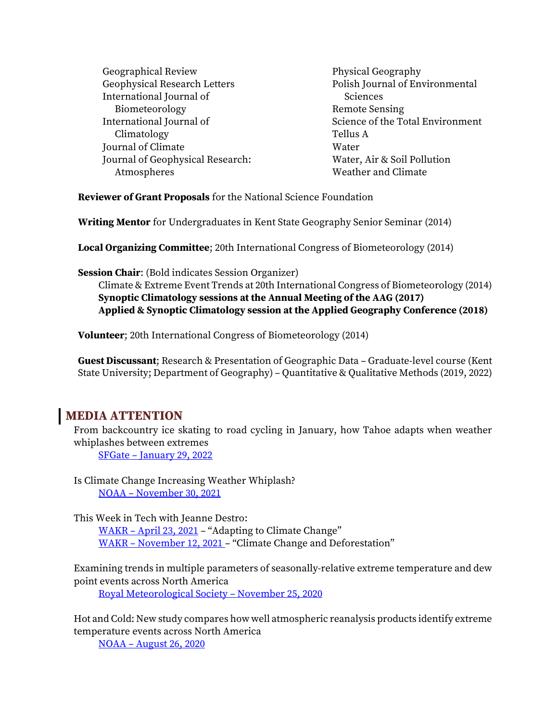| Geographical Review                 | Physical Geography               |
|-------------------------------------|----------------------------------|
| <b>Geophysical Research Letters</b> | Polish Journal of Environmental  |
| International Journal of            | Sciences                         |
| Biometeorology                      | <b>Remote Sensing</b>            |
| International Journal of            | Science of the Total Environment |
| Climatology                         | Tellus A                         |
| Journal of Climate                  | Water                            |
| Journal of Geophysical Research:    | Water, Air & Soil Pollution      |
| Atmospheres                         | Weather and Climate              |
|                                     |                                  |

**Reviewer of Grant Proposals** for the National Science Foundation

**Writing Mentor** for Undergraduates in Kent State Geography Senior Seminar (2014)

**Local Organizing Committee**; 20th International Congress of Biometeorology (2014)

**Session Chair**: (Bold indicates Session Organizer)

Climate & Extreme Event Trends at 20th International Congress of Biometeorology (2014) **Synoptic Climatology sessions at the Annual Meeting of the AAG (2017) Applied & Synoptic Climatology session at the Applied Geography Conference (2018)**

**Volunteer**; 20th International Congress of Biometeorology (2014)

**Guest Discussant**; Research & Presentation of Geographic Data – Graduate-level course (Kent State University; Department of Geography) – Quantitative & Qualitative Methods (2019, 2022)

## **MEDIA ATTENTION**

From backcountry ice skating to road cycling in January, how Tahoe adapts when weather whiplashes between extremes

SFGate – [January 29, 2022](https://www.sfgate.com/renotahoe/article/Tahoe-weather-whiplash-more-extreme-16813781.php)

Is Climate Change Increasing Weather Whiplash? NOAA – [November 30, 2021](https://cpo.noaa.gov/News/News-Article/ArtMID/6226/ArticleID/2438/Is-Climate-Change-Increasing-Weather-Whiplash)

This Week in Tech with Jeanne Destro: WAKR – [April 23, 2021](https://www.wakr.net/local-news/this-week-in-tech/item/165960-this-week-in-tech-with-jeanne-destro-4-23-21-adapting-to-climate-change) – "Adapting to Climate Change" WAKR – [November 12, 2021](https://www.wakr.net/local-news/this-week-in-tech/item/166269-this-week-in-tech-with-jeanne-destro-11-5-21-climate-change-deforestation) – "Climate Change and Deforestation"

Examining trends in multiple parameters of seasonally‐relative extreme temperature and dew point events across North America

[Royal Meteorological Society](https://www.rmets.org/node/456877) – November 25, 2020

Hot and Cold: New study compares how well atmospheric reanalysis products identify extreme temperature events across North America

NOAA – [August 26, 2020](https://cpo.noaa.gov/News/ArtMID/7875/ArticleID/2007/Hot-and-Cold-New-study-compares-how-well-atmospheric-reanalysis-products-identify-extreme-temperature-events-across-North-America)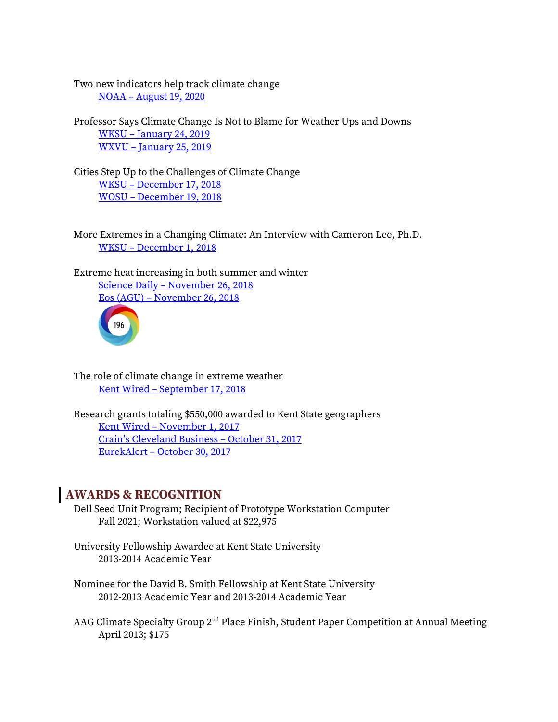Two new indicators help track climate change NOAA – [August 19, 2020](https://cpo.noaa.gov/News/ArtMID/7875/ArticleID/1999/Two-new-indicators-help-track-climate-change)

Professor Says Climate Change Is Not to Blame for Weather Ups and Downs WKSU – [January 24, 2019](https://www.wksu.org/post/professor-says-climate-change-not-blame-weather-ups-and-downs) WXVU – [January 25, 2019](http://www.wvxu.org/post/professor-says-climate-change-not-blame-weather-ups-and-downs#stream/0)

Cities Step Up to the Challenges of Climate Change WKSU – [December 17, 2018](https://www.wksu.org/post/cities-step-challenges-climate-change#stream/0) WOSU – [December 19, 2018](http://radio.wosu.org/post/ohio-cities-prep-their-game-plan-confront-climate-change#stream/0)

More Extremes in a Changing Climate: An Interview with Cameron Lee, Ph.D. WKSU – [December 1, 2018](https://www.wksu.org/post/more-extremes-changing-climate-interview-cameron-lee-phd?fbclid=IwAR1GT_2SdODcdFIS9piC1e9rKLLWZ8TDBSTnLPWZy1uzzMYI_PnDGJMSE4U#stream/0)

Extreme heat increasing in both summer and winter Science Daily – [November 26, 2018](https://www.sciencedaily.com/releases/2018/11/181126142822.htm) Eos (AGU) – [November 26, 2018](https://eos.org/scientific-press/extreme-heat-increasing-in-both-summer-and-winter?utm_source=rss&utm_medium=rss&utm_content=extreme-heat-increasing-in-both-summer-and-winter)



The role of climate change in extreme weather Kent Wired – [September 17, 2018](http://www.kentwired.com/latest_updates/article_1c9e4df4-bac7-11e8-8c9d-ab548608349e.html)

Research grants totaling \$550,000 awarded to Kent State geographers Kent Wired – [November 1, 2017](http://www.kentwired.com/latest_updates/article_2da6018a-bf20-11e7-962b-2b5061e585a2.html) C[rain's Cleveland Business –](https://www.crainscleveland.com/article/20171031/news/140581/kent-state-researchers-land-grants-totaling-550000-study-climate-issues) October 31, 2017 EurekAlert – [October 30, 2017](https://www.eurekalert.org/pub_releases/2017-10/ksu-ksg103017.php)

## **AWARDS & RECOGNITION**

- Dell Seed Unit Program; Recipient of Prototype Workstation Computer Fall 2021; Workstation valued at \$22,975
- University Fellowship Awardee at Kent State University 2013-2014 Academic Year
- Nominee for the David B. Smith Fellowship at Kent State University 2012-2013 Academic Year and 2013-2014 Academic Year
- AAG Climate Specialty Group 2<sup>nd</sup> Place Finish, Student Paper Competition at Annual Meeting April 2013; \$175